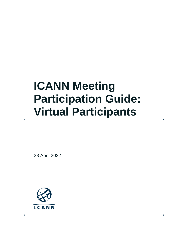# **ICANN Meeting Participation Guide: Virtual Participants**

28 April 2022

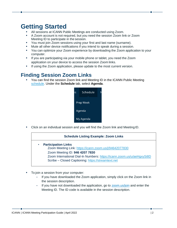## **Getting Started**

- **•** All sessions at ICANN Public Meetings are conducted using Zoom.
- **•** A Zoom account is not required, but you need the session Zoom link or Zoom Meeting ID to participate in the session.
- **•** You must join Zoom sessions using your first and last name (surname).
- **•** Mute all other device notifications if you intend to speak during a session.
- **•** You can optimize your Zoom experience by downloading the Zoom application to your computer.
- **•** If you are participating via your mobile phone or tablet, you need the Zoom application on your device to access the session Zoom links.
- **•** If using the Zoom application, please update to the most current version.

#### **Finding Session Zoom Links**

**•** You can find the session Zoom link and Meeting ID in the ICANN Public Meeting [schedule.](https://schedule.icann.org/) Under the **Schedule** tab, select **Agenda**.



**•** Click on an individual session and you will find the Zoom link and MeetingID.

#### **Schedule Listing Example: Zoom Links** • **Participation Links** Zoom Meeting Link:<https://icann.zoom.us/j/94642077830> Zoom Meeting ID: **946 4207 7830** Zoom International Dial-In Numbers:<https://icann.zoom.us/u/aeHgxySi8D> Scribe – Closed Captioning: [https://streamtext.net](https://streamtext.net/)

- **•** To join a session from your computer:
	- **-** If you have downloaded the Zoom application, simply click on the Zoom link in the session description.
	- **-** If you have not downloaded the application, go to [zoom.us/join](https://zoom.us/join) and enter the Meeting ID. The ID code is available in the session description.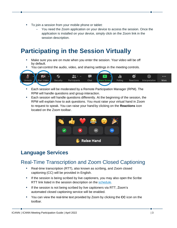- **•** To join a session from your mobile phone or tablet:
	- **-** You need the Zoom application on your device to access the session. Once the application is installed on your device, simply click on the Zoom link in the session description.

## **Participating in the Session Virtually**

- **•** Make sure you are on mute when you enter the session. Your video will be off by default.
- **•** You can control the audio, video, and sharing settings in the meeting controls.



- **•** Each session will be moderated by a Remote Participation Manager (RPM). The RPM will handle questions and group interaction.
- **•** Each session will handle questions differently. At the beginning of the session, the RPM will explain how to ask questions. You must raise your virtual hand in Zoom to request to speak. You can raise your handby clicking on the **Reactions** icon located on the Zoom toolbar.



### **Language Services**

#### Real-Time Transcription and Zoom Closed Captioning

- **•** Real-time transcription (RTT), also known as scribing, and Zoom closed captioning (CC) will be provided in English.
- **•** If the session is being scribed by live captioners, you may also open the Scribe RTT link listed in the session description on the [schedule.](https://schedule.icann.org/)
- **•** If the session is not being scribed by live captioners via RTT, Zoom's automated closed captioning service will be enabled.
- **•** You can view the real-time text provided by Zoom by clicking the **CC** icon on the toolbar.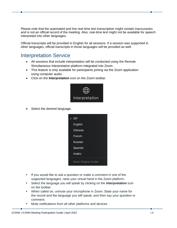Please note that the automated and live real-time text transcription might contain inaccuracies and is not an official record of the meeting. Also, real-time text might not be available for speech interpreted into other languages.

Official transcripts will be provided in English for all sessions. If a session was supported in other languages, official transcripts in those languages will be provided as well.

#### Interpretation Service

- All sessions that include interpretation will be conducted using the Remote Simultaneous Interpretation platform integrated into Zoom.
- This feature is only available for participants joining via the Zoom application using computer audio.
- Click on the **Interpretation** icon on the Zoom toolbar.



• Select the desired language.



- **•** If you would like to ask a question or make a comment in one of the supported languages, raise your virtual hand in the Zoom platform.
- **•** Select the language you will speak by clicking on the **Interpretation** icon on the toolbar.
- **•** When called on, unmute your microphone in Zoom. State your name for the record and the language you will speak, and then say your question or comment.
- **•** Mute notifications from all other platforms and devices.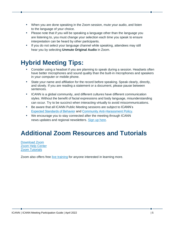- **•** When you are done speaking in the Zoom session, mute your audio, and listen to the language of your choice.
- **•** Please note that if you will be speaking a language other than the language you are listening to, you must change your selection each time you speak to ensure interpretation can be heard by other participants.
- **•** If you do not select your language channel while speaking, attendees may still hear you by selecting **Unmute Original Audio** in Zoom.

## **Hybrid Meeting Tips:**

- **•** Consider using a headset if you are planning to speak during a session. Headsets often have better microphones and sound quality than the built-in microphones and speakers in your computer or mobile phone.
- **•** State your name and affiliation for the record before speaking. Speak clearly, directly, and slowly. If you are reading a statement or a document, please pause between sentences.
- **•** ICANN is a global community, and different cultures have different communication styles. Without the benefit of facial expressions and body language, misunderstanding can occur. Try to be succinct when interacting virtually to avoid miscommunications.
- **•** Be aware that all ICANN Public Meeting sessions are subject to ICANN's [Expected Standards of Behavior](https://www.icann.org/en/system/files/files/expected-standards-15sep16-en.pdf) and [Community Anti-Harassment Policy.](https://www.icann.org/resources/pages/community-anti-harassment-policy-2017-03-24-en)
- **•** We encourage you to stay connected after the meeting through ICANN news updates and regional newsletters. [Sign up](https://account.icann.org/registeraccount) here.

## **Additional Zoom Resources and Tutorials**

[Download Zoom](https://zoom.us/support/download) [Zoom Help Center](https://support.zoom.us/hc/en-us) [Zoom Tutorials](https://support.zoom.us/hc/en-us/articles/206618765-Zoom-Video-Tutorials)

Zoom also offers free [live training](https://support.zoom.us/hc/en-us/articles/360029527911) for anyone interested in learning more.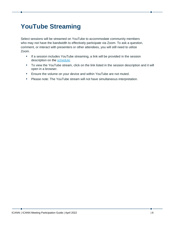## **YouTube Streaming**

Select sessions will be streamed on YouTube to accommodate community members who may not have the bandwidth to effectively participate via Zoom. To ask a question, comment, or interact with presenters or other attendees, you will still need to utilize Zoom.

- **•** If a session includes YouTube streaming, a link will be provided in the session description on the [schedule.](http://schedule.icann.org/)
- **•** To view the YouTube stream, click on the link listed in the session description and it will open in a browser.
- **•** Ensure the volume on your device and within YouTube are not muted.
- **•** Please note: The YouTube stream will not have simultaneous interpretation.